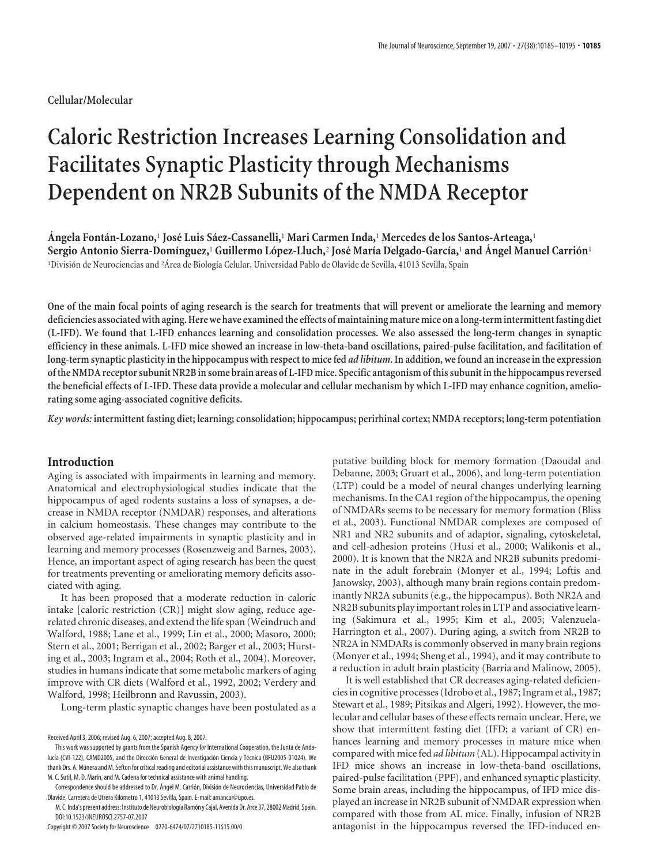# **Cellular/Molecular**

# **Caloric Restriction Increases Learning Consolidation and Facilitates Synaptic Plasticity through Mechanisms Dependent on NR2B Subunits of the NMDA Receptor**

**A´ngela Fonta´n-Lozano,**<sup>1</sup> **Jose´ Luis Sa´ez-Cassanelli,**<sup>1</sup> **Mari Carmen Inda,**<sup>1</sup> **Mercedes de los Santos-Arteaga,**<sup>1</sup> **Sergio Antonio Sierra-Domı´nguez,**<sup>1</sup> **Guillermo Lo´pez-Lluch,**<sup>2</sup> **Jose´ Marı´a Delgado-Garcı´a,**<sup>1</sup> **and A´ngel Manuel Carrio´n**<sup>1</sup> <sup>1</sup>División de Neurociencias and <sup>2</sup>Área de Biología Celular, Universidad Pablo de Olavide de Sevilla, 41013 Sevilla, Spain

**One of the main focal points of aging research is the search for treatments that will prevent or ameliorate the learning and memory deficiencies associated with aging.Here we have examinedthe effects of maintaining mature mice on a long-term intermittentfasting diet (L-IFD). We found that L-IFD enhances learning and consolidation processes. We also assessed the long-term changes in synaptic efficiency in these animals. L-IFD mice showed an increase in low-theta-band oscillations, paired-pulse facilitation, and facilitation of long-term synaptic plasticity in the hippocampus with respect to mice fed** *ad libitum***. In addition, we found an increase in the expression ofthe NMDA receptor subunit NR2B in some brain areas of L-IFD mice. Specific antagonism ofthis subunit inthe hippocampus reversed the beneficial effects of L-IFD. These data provide a molecular and cellular mechanism by which L-IFD may enhance cognition, ameliorating some aging-associated cognitive deficits.**

*Key words:* **intermittent fasting diet; learning; consolidation; hippocampus; perirhinal cortex; NMDA receptors; long-term potentiation**

## **Introduction**

Aging is associated with impairments in learning and memory. Anatomical and electrophysiological studies indicate that the hippocampus of aged rodents sustains a loss of synapses, a decrease in NMDA receptor (NMDAR) responses, and alterations in calcium homeostasis. These changes may contribute to the observed age-related impairments in synaptic plasticity and in learning and memory processes (Rosenzweig and Barnes, 2003). Hence, an important aspect of aging research has been the quest for treatments preventing or ameliorating memory deficits associated with aging.

It has been proposed that a moderate reduction in caloric intake [caloric restriction (CR)] might slow aging, reduce agerelated chronic diseases, and extend the life span (Weindruch and Walford, 1988; Lane et al., 1999; Lin et al., 2000; Masoro, 2000; Stern et al., 2001; Berrigan et al., 2002; Barger et al., 2003; Hursting et al., 2003; Ingram et al., 2004; Roth et al., 2004). Moreover, studies in humans indicate that some metabolic markers of aging improve with CR diets (Walford et al., 1992, 2002; Verdery and Walford, 1998; Heilbronn and Ravussin, 2003).

Long-term plastic synaptic changes have been postulated as a

Copyright © 2007 Society for Neuroscience 0270-6474/07/2710185-11\$15.00/0

putative building block for memory formation (Daoudal and Debanne, 2003; Gruart et al., 2006), and long-term potentiation (LTP) could be a model of neural changes underlying learning mechanisms. In the CA1 region of the hippocampus, the opening of NMDARs seems to be necessary for memory formation (Bliss et al., 2003). Functional NMDAR complexes are composed of NR1 and NR2 subunits and of adaptor, signaling, cytoskeletal, and cell-adhesion proteins (Husi et al., 2000; Walikonis et al., 2000). It is known that the NR2A and NR2B subunits predominate in the adult forebrain (Monyer et al., 1994; Loftis and Janowsky, 2003), although many brain regions contain predominantly NR2A subunits (e.g., the hippocampus). Both NR2A and NR2B subunits play important roles in LTP and associative learning (Sakimura et al., 1995; Kim et al., 2005; Valenzuela-Harrington et al., 2007). During aging, a switch from NR2B to NR2A in NMDARs is commonly observed in many brain regions (Monyer et al., 1994; Sheng et al., 1994), and it may contribute to a reduction in adult brain plasticity (Barria and Malinow, 2005).

It is well established that CR decreases aging-related deficiencies in cognitive processes (Idrobo et al., 1987; Ingram et al., 1987; Stewart et al., 1989; Pitsikas and Algeri, 1992). However, the molecular and cellular bases of these effects remain unclear. Here, we show that intermittent fasting diet (IFD; a variant of CR) enhances learning and memory processes in mature mice when compared with mice fed *ad libitum*(AL). Hippocampal activity in IFD mice shows an increase in low-theta-band oscillations, paired-pulse facilitation (PPF), and enhanced synaptic plasticity. Some brain areas, including the hippocampus, of IFD mice displayed an increase in NR2B subunit of NMDAR expression when compared with those from AL mice. Finally, infusion of NR2B antagonist in the hippocampus reversed the IFD-induced en-

Received April 3, 2006; revised Aug. 6, 2007; accepted Aug. 8, 2007.

This work was supported by grants from the Spanish Agency for International Cooperation, the Junta de Andalucía (CVI-122), CAMD2005, and the Dirección General de Investigación Ciencia y Técnica (BFU2005-01024). We thank Drs. A. Múnera and M. Sefton for critical reading and editorial assistance with this manuscript. We also thank M. C. Sutil, M. D. Marín, and M. Cadena for technical assistance with animal handling.

Correspondence should be addressed to Dr. Ángel M. Carrión, División de Neurociencias, Universidad Pablo de Olavide, Carretera de Utrera Kilo´metro 1, 41013 Sevilla, Spain. E-mail: amancar@upo.es.

M. C. Inda's present address: Instituto de Neurobiología Ramón y Cajal, Avenida Dr. Arce 37, 28002 Madrid, Spain. DOI:10.1523/JNEUROSCI.2757-07.2007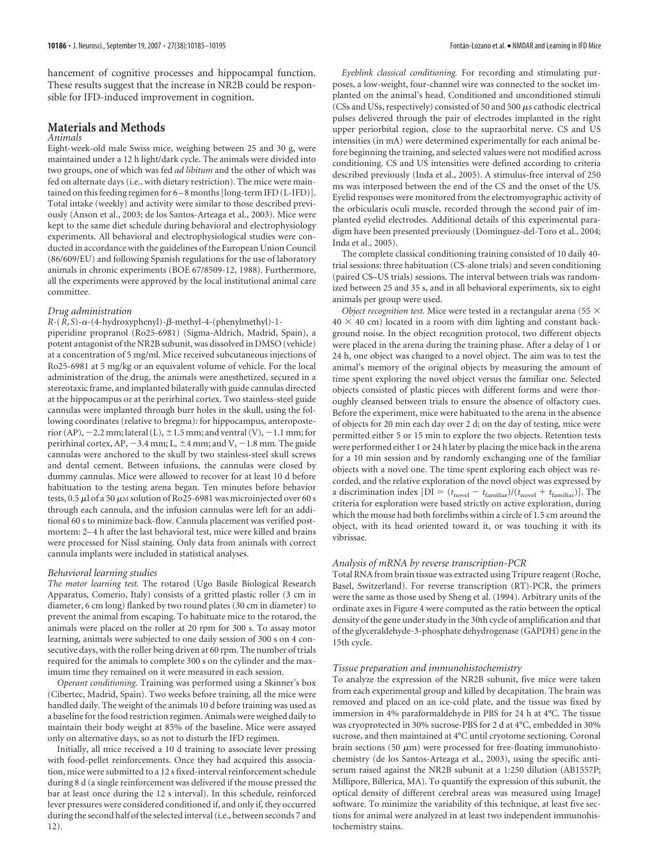hancement of cognitive processes and hippocampal function. These results suggest that the increase in NR2B could be responsible for IFD-induced improvement in cognition.

# **Materials and Methods**

## *Animals*

Eight-week-old male Swiss mice, weighing between 25 and 30 g, were maintained under a 12 h light/dark cycle. The animals were divided into two groups, one of which was fed *ad libitum* and the other of which was fed on alternate days (i.e., with dietary restriction). The mice were maintained on this feeding regimen for 6 – 8 months [long-term IFD (L-IFD)]. Total intake (weekly) and activity were similar to those described previously (Anson et al., 2003; de los Santos-Arteaga et al., 2003). Mice were kept to the same diet schedule during behavioral and electrophysiology experiments. All behavioral and electrophysiological studies were conducted in accordance with the guidelines of the European Union Council (86/609/EU) and following Spanish regulations for the use of laboratory animals in chronic experiments (BOE 67/8509-12, 1988). Furthermore, all the experiments were approved by the local institutional animal care committee.

#### *Drug administration*

### *R*-(*R*,*S*)-α-(4-hydroxyphenyl)-β-methyl-4-(phenylmethyl)-1-

piperidine propranol (Ro25-6981) (Sigma-Aldrich, Madrid, Spain), a potent antagonist of the NR2B subunit, was dissolved in DMSO (vehicle) at a concentration of 5 mg/ml. Mice received subcutaneous injections of Ro25-6981 at 5 mg/kg or an equivalent volume of vehicle. For the local administration of the drug, the animals were anesthetized, secured in a stereotaxic frame, and implanted bilaterally with guide cannulas directed at the hippocampus or at the perirhinal cortex. Two stainless-steel guide cannulas were implanted through burr holes in the skull, using the following coordinates (relative to bregma): for hippocampus, anteroposterior (AP),  $-2.2$  mm; lateral (L),  $\pm 1.5$  mm; and ventral (V),  $-1.1$  mm; for perirhinal cortex, AP,  $-3.4$  mm; L,  $\pm 4$  mm; and V,  $-1.8$  mm. The guide cannulas were anchored to the skull by two stainless-steel skull screws and dental cement. Between infusions, the cannulas were closed by dummy cannulas. Mice were allowed to recover for at least 10 d before habituation to the testing arena began. Ten minutes before behavior tests,  $0.5 \mu$ l of a 50  $\mu$ M solution of Ro25-6981 was microinjected over 60 s through each cannula, and the infusion cannulas were left for an additional 60 s to minimize back-flow. Cannula placement was verified postmortem: 2– 4 h after the last behavioral test, mice were killed and brains were processed for Nissl staining. Only data from animals with correct cannula implants were included in statistical analyses.

#### *Behavioral learning studies*

*The motor learning test.* The rotarod (Ugo Basile Biological Research Apparatus, Comerio, Italy) consists of a gritted plastic roller (3 cm in diameter, 6 cm long) flanked by two round plates (30 cm in diameter) to prevent the animal from escaping. To habituate mice to the rotarod, the animals were placed on the roller at 20 rpm for 300 s. To assay motor learning, animals were subjected to one daily session of 300 s on 4 consecutive days, with the roller being driven at 60 rpm. The number of trials required for the animals to complete 300 s on the cylinder and the maximum time they remained on it were measured in each session.

*Operant conditioning.* Training was performed using a Skinner's box (Cibertec, Madrid, Spain). Two weeks before training, all the mice were handled daily. The weight of the animals 10 d before training was used as a baseline for the food restriction regimen. Animals were weighed daily to maintain their body weight at 85% of the baseline. Mice were assayed only on alternative days, so as not to disturb the IFD regimen.

Initially, all mice received a 10 d training to associate lever pressing with food-pellet reinforcements. Once they had acquired this association, mice were submitted to a 12 s fixed-interval reinforcement schedule during 8 d (a single reinforcement was delivered if the mouse pressed the bar at least once during the 12 s interval). In this schedule, reinforced lever pressures were considered conditioned if, and only if, they occurred during the second half of the selected interval (i.e., between seconds 7 and 12).

*Eyeblink classical conditioning.* For recording and stimulating purposes, a low-weight, four-channel wire was connected to the socket implanted on the animal's head. Conditioned and unconditioned stimuli (CSs and USs, respectively) consisted of 50 and 500  $\mu$ s cathodic electrical pulses delivered through the pair of electrodes implanted in the right upper periorbital region, close to the supraorbital nerve. CS and US intensities (in mA) were determined experimentally for each animal before beginning the training, and selected values were not modified across conditioning. CS and US intensities were defined according to criteria described previously (Inda et al., 2005). A stimulus-free interval of 250 ms was interposed between the end of the CS and the onset of the US. Eyelid responses were monitored from the electromyographic activity of the orbicularis oculi muscle, recorded through the second pair of implanted eyelid electrodes. Additional details of this experimental paradigm have been presented previously (Domínguez-del-Toro et al., 2004; Inda et al., 2005).

The complete classical conditioning training consisted of 10 daily 40 trial sessions: three habituation (CS-alone trials) and seven conditioning (paired CS–US trials) sessions. The interval between trials was randomized between 25 and 35 s, and in all behavioral experiments, six to eight animals per group were used.

*Object recognition test.* Mice were tested in a rectangular arena (55  $\times$  $40 \times 40$  cm) located in a room with dim lighting and constant background noise. In the object recognition protocol, two different objects were placed in the arena during the training phase. After a delay of 1 or 24 h, one object was changed to a novel object. The aim was to test the animal's memory of the original objects by measuring the amount of time spent exploring the novel object versus the familiar one. Selected objects consisted of plastic pieces with different forms and were thoroughly cleansed between trials to ensure the absence of olfactory cues. Before the experiment, mice were habituated to the arena in the absence of objects for 20 min each day over 2 d; on the day of testing, mice were permitted either 5 or 15 min to explore the two objects. Retention tests were performed either 1 or 24 h later by placing the mice back in the arena for a 10 min session and by randomly exchanging one of the familiar objects with a novel one. The time spent exploring each object was recorded, and the relative exploration of the novel object was expressed by a discrimination index [DI =  $(t_{\text{novel}} - t_{\text{familiar}})/(t_{\text{novel}} + t_{\text{familiar}})$ ]. The criteria for exploration were based strictly on active exploration, during which the mouse had both forelimbs within a circle of 1.5 cm around the object, with its head oriented toward it, or was touching it with its vibrissae.

#### *Analysis of mRNA by reverse transcription-PCR*

Total RNA from brain tissue was extracted using Tripure reagent (Roche, Basel, Switzerland). For reverse transcription (RT)-PCR, the primers were the same as those used by Sheng et al. (1994). Arbitrary units of the ordinate axes in Figure 4 were computed as the ratio between the optical density of the gene under study in the 30th cycle of amplification and that of the glyceraldehyde-3-phosphate dehydrogenase (GAPDH) gene in the 15th cycle.

#### *Tissue preparation and immunohistochemistry*

To analyze the expression of the NR2B subunit, five mice were taken from each experimental group and killed by decapitation. The brain was removed and placed on an ice-cold plate, and the tissue was fixed by immersion in 4% paraformaldehyde in PBS for 24 h at 4°C. The tissue was cryoprotected in 30% sucrose-PBS for 2 d at 4°C, embedded in 30% sucrose, and then maintained at 4°C until cryotome sectioning. Coronal brain sections (50  $\mu$ m) were processed for free-floating immunohistochemistry (de los Santos-Arteaga et al., 2003), using the specific antiserum raised against the NR2B subunit at a 1:250 dilution (AB1557P; Millipore, Billerica, MA). To quantify the expression of this subunit, the optical density of different cerebral areas was measured using ImageJ software. To minimize the variability of this technique, at least five sections for animal were analyzed in at least two independent immunohistochemistry stains.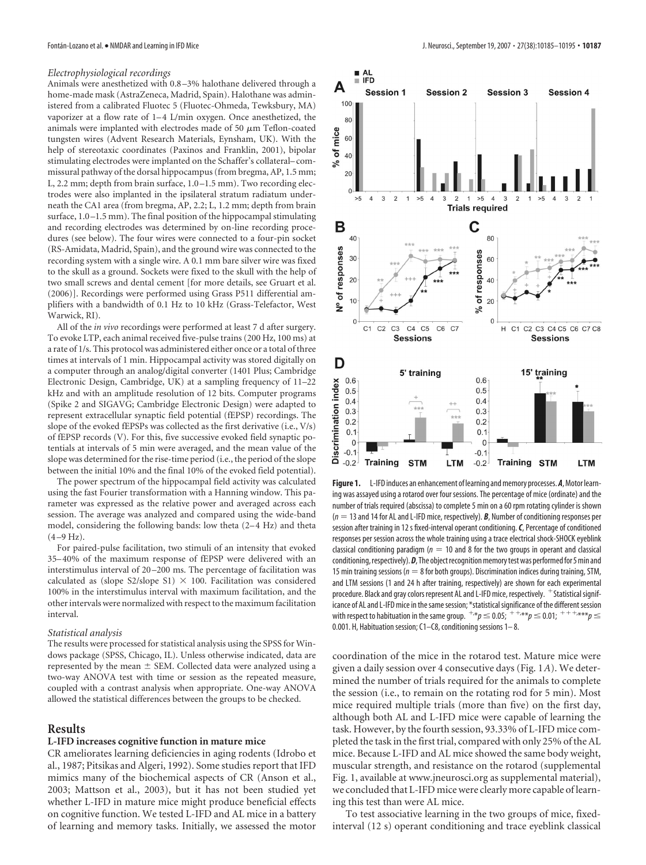#### *Electrophysiological recordings*

Animals were anesthetized with 0.8 –3% halothane delivered through a home-made mask (AstraZeneca, Madrid, Spain). Halothane was administered from a calibrated Fluotec 5 (Fluotec-Ohmeda, Tewksbury, MA) vaporizer at a flow rate of 1-4 L/min oxygen. Once anesthetized, the animals were implanted with electrodes made of 50  $\mu$ m Teflon-coated tungsten wires (Advent Research Materials, Eynsham, UK). With the help of stereotaxic coordinates (Paxinos and Franklin, 2001), bipolar stimulating electrodes were implanted on the Schaffer's collateral– commissural pathway of the dorsal hippocampus (from bregma, AP, 1.5 mm; L, 2.2 mm; depth from brain surface, 1.0 –1.5 mm). Two recording electrodes were also implanted in the ipsilateral stratum radiatum underneath the CA1 area (from bregma, AP, 2.2; L, 1.2 mm; depth from brain surface,  $1.0 - 1.5$  mm). The final position of the hippocampal stimulating and recording electrodes was determined by on-line recording procedures (see below). The four wires were connected to a four-pin socket (RS-Amidata, Madrid, Spain), and the ground wire was connected to the recording system with a single wire. A 0.1 mm bare silver wire was fixed to the skull as a ground. Sockets were fixed to the skull with the help of two small screws and dental cement [for more details, see Gruart et al. (2006)]. Recordings were performed using Grass P511 differential amplifiers with a bandwidth of 0.1 Hz to 10 kHz (Grass-Telefactor, West Warwick, RI).

All of the *in vivo* recordings were performed at least 7 d after surgery. To evoke LTP, each animal received five-pulse trains (200 Hz, 100 ms) at a rate of 1/s. This protocol was administered either once or a total of three times at intervals of 1 min. Hippocampal activity was stored digitally on a computer through an analog/digital converter (1401 Plus; Cambridge Electronic Design, Cambridge, UK) at a sampling frequency of 11–22 kHz and with an amplitude resolution of 12 bits. Computer programs (Spike 2 and SIGAVG; Cambridge Electronic Design) were adapted to represent extracellular synaptic field potential (fEPSP) recordings. The slope of the evoked fEPSPs was collected as the first derivative (i.e., V/s) of fEPSP records (V). For this, five successive evoked field synaptic potentials at intervals of 5 min were averaged, and the mean value of the slope was determined for the rise-time period (i.e., the period of the slope between the initial 10% and the final 10% of the evoked field potential).

The power spectrum of the hippocampal field activity was calculated using the fast Fourier transformation with a Hanning window. This parameter was expressed as the relative power and averaged across each session. The average was analyzed and compared using the wide-band model, considering the following bands: low theta (2-4 Hz) and theta  $(4 - 9 Hz)$ .

For paired-pulse facilitation, two stimuli of an intensity that evoked 35– 40% of the maximum response of fEPSP were delivered with an interstimulus interval of 20 –200 ms. The percentage of facilitation was calculated as (slope S2/slope S1)  $\times$  100. Facilitation was considered 100% in the interstimulus interval with maximum facilitation, and the other intervals were normalized with respect to the maximum facilitation interval.

#### *Statistical analysis*

The results were processed for statistical analysis using the SPSS for Windows package (SPSS, Chicago, IL). Unless otherwise indicated, data are represented by the mean  $\pm$  SEM. Collected data were analyzed using a two-way ANOVA test with time or session as the repeated measure, coupled with a contrast analysis when appropriate. One-way ANOVA allowed the statistical differences between the groups to be checked.

## **Results**

## **L-IFD increases cognitive function in mature mice**

CR ameliorates learning deficiencies in aging rodents (Idrobo et al., 1987; Pitsikas and Algeri, 1992). Some studies report that IFD mimics many of the biochemical aspects of CR (Anson et al., 2003; Mattson et al., 2003), but it has not been studied yet whether L-IFD in mature mice might produce beneficial effects on cognitive function. We tested L-IFD and AL mice in a battery of learning and memory tasks. Initially, we assessed the motor



**Figure 1.** L-IFD induces an enhancement of learning and memory processes. **A**, Motor learning was assayed using a rotarod over four sessions. The percentage of mice (ordinate) and the number of trials required (abscissa) to complete 5 min on a 60 rpm rotating cylinder is shown (*n* 13 and 14 for AL and L-IFD mice, respectively). *B*, Number of conditioning responses per session after training in 12 s fixed-interval operant conditioning.*C*, Percentage of conditioned responses per session across the whole training using a trace electrical shock-SHOCK eyeblink classical conditioning paradigm ( $n = 10$  and 8 for the two groups in operant and classical conditioning, respectively). **D**, The object recognition memory test was performed for 5 min and 15 min training sessions ( $n = 8$  for both groups). Discrimination indices during training, STM, and LTM sessions (1 and 24 h after training, respectively) are shown for each experimental procedure. Black and gray colors represent AL and L-IFD mice, respectively.  $+$  Statistical significance of AL and L-IFD mice in the same session; \*statistical significance of the different session with respect to habituation in the same group. <sup>+,\*</sup> $p$   $\leq$  0.05;  $^+$  <sup>+,\*,\*\*</sup> $p$   $\leq$  0.01;  $^+$  <sup>+ + +,\*\*\*</sup> $p$   $\leq$ 0.001. H, Habituation session; C1–C8, conditioning sessions 1– 8.

coordination of the mice in the rotarod test. Mature mice were given a daily session over 4 consecutive days (Fig. 1*A*). We determined the number of trials required for the animals to complete the session (i.e., to remain on the rotating rod for 5 min). Most mice required multiple trials (more than five) on the first day, although both AL and L-IFD mice were capable of learning the task. However, by the fourth session, 93.33% of L-IFD mice completed the task in the first trial, compared with only 25% of the AL mice. Because L-IFD and AL mice showed the same body weight, muscular strength, and resistance on the rotarod (supplemental Fig. 1, available at www.jneurosci.org as supplemental material), we concluded that L-IFD mice were clearly more capable of learning this test than were AL mice.

To test associative learning in the two groups of mice, fixedinterval (12 s) operant conditioning and trace eyeblink classical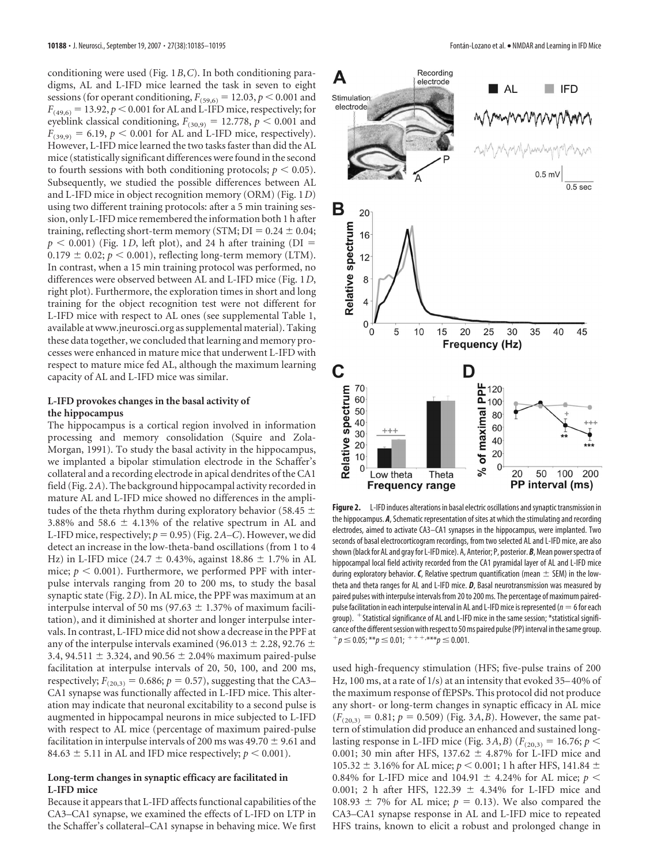conditioning were used (Fig. 1*B*,*C*). In both conditioning paradigms, AL and L-IFD mice learned the task in seven to eight sessions (for operant conditioning,  $F_{(59,6)} = 12.03$ ,  $p \le 0.001$  and  $F_{(49,6)} = 13.92, p \le 0.001$  for AL and L-IFD mice, respectively; for eyeblink classical conditioning,  $F_{(30,9)} = 12.778$ ,  $p < 0.001$  and  $F_{(39,9)} = 6.19$ ,  $p < 0.001$  for AL and L-IFD mice, respectively). However, L-IFD mice learned the two tasks faster than did the AL mice (statistically significant differences were found in the second to fourth sessions with both conditioning protocols;  $p \leq 0.05$ ). Subsequently, we studied the possible differences between AL and L-IFD mice in object recognition memory (ORM) (Fig. 1*D*) using two different training protocols: after a 5 min training session, only L-IFD mice remembered the information both 1 h after training, reflecting short-term memory (STM;  $DI = 0.24 \pm 0.04$ ;  $p < 0.001$ ) (Fig. 1*D*, left plot), and 24 h after training (DI =  $0.179 \pm 0.02$ ;  $p < 0.001$ ), reflecting long-term memory (LTM). In contrast, when a 15 min training protocol was performed, no differences were observed between AL and L-IFD mice (Fig. 1*D*, right plot). Furthermore, the exploration times in short and long training for the object recognition test were not different for L-IFD mice with respect to AL ones (see supplemental Table 1, available at www.jneurosci.org as supplemental material). Taking these data together, we concluded that learning and memory processes were enhanced in mature mice that underwent L-IFD with respect to mature mice fed AL, although the maximum learning capacity of AL and L-IFD mice was similar.

# **L-IFD provokes changes in the basal activity of the hippocampus**

The hippocampus is a cortical region involved in information processing and memory consolidation (Squire and Zola-Morgan, 1991). To study the basal activity in the hippocampus, we implanted a bipolar stimulation electrode in the Schaffer's collateral and a recording electrode in apical dendrites of the CA1 field (Fig. 2*A*). The background hippocampal activity recorded in mature AL and L-IFD mice showed no differences in the amplitudes of the theta rhythm during exploratory behavior (58.45  $\pm$ 3.88% and 58.6  $\pm$  4.13% of the relative spectrum in AL and L-IFD mice, respectively;  $p = 0.95$ ) (Fig. 2*A–C*). However, we did detect an increase in the low-theta-band oscillations (from 1 to 4 Hz) in L-IFD mice (24.7  $\pm$  0.43%, against 18.86  $\pm$  1.7% in AL mice;  $p < 0.001$ ). Furthermore, we performed PPF with interpulse intervals ranging from 20 to 200 ms, to study the basal synaptic state (Fig. 2*D*). In AL mice, the PPF was maximum at an interpulse interval of 50 ms (97.63  $\pm$  1.37% of maximum facilitation), and it diminished at shorter and longer interpulse intervals. In contrast, L-IFD mice did not show a decrease in the PPF at any of the interpulse intervals examined (96.013  $\pm$  2.28, 92.76  $\pm$ 3.4, 94.511  $\pm$  3.324, and 90.56  $\pm$  2.04% maximum paired-pulse facilitation at interpulse intervals of 20, 50, 100, and 200 ms, respectively;  $F_{(20,3)} = 0.686$ ;  $p = 0.57$ ), suggesting that the CA3– CA1 synapse was functionally affected in L-IFD mice. This alteration may indicate that neuronal excitability to a second pulse is augmented in hippocampal neurons in mice subjected to L-IFD with respect to AL mice (percentage of maximum paired-pulse facilitation in interpulse intervals of 200 ms was 49.70  $\pm$  9.61 and 84.63  $\pm$  5.11 in AL and IFD mice respectively;  $p < 0.001$ ).

## **Long-term changes in synaptic efficacy are facilitated in L-IFD mice**

Because it appears that L-IFD affects functional capabilities of the CA3–CA1 synapse, we examined the effects of L-IFD on LTP in the Schaffer's collateral–CA1 synapse in behaving mice. We first



**Figure 2.** L-IFD induces alterations in basal electric oscillations and synaptic transmission in the hippocampus. *A*, Schematic representation of sites at which the stimulating and recording electrodes, aimed to activate CA3–CA1 synapses in the hippocampus, were implanted. Two seconds of basal electrocorticogram recordings, from two selected AL and L-IFD mice, are also shown(black for AL and gray for L-IFD mice). A, Anterior; P, posterior. *B*, Mean powerspectra of hippocampal local field activity recorded from the CA1 pyramidal layer of AL and L-IFD mice during exploratory behavior.  $\boldsymbol{\mathsf{C}}$ , Relative spectrum quantification (mean  $\pm$  SEM) in the lowtheta and theta ranges for AL and L-IFD mice. *D*, Basal neurotransmission was measured by paired pulses with interpulse intervals from 20 to 200 ms. The percentage of maximum pairedpulse facilitation in each interpulse interval in AL and L-IFD mice is represented ( $n=6$  for each group).  $+$ Statistical significance of AL and L-IFD mice in the same session; \*statistical significance of the different session with respect to 50 ms paired pulse (PP) interval in the same group.  $p^+p \le 0.05$ ; \*\* $p \le 0.01$ ;  $p^+p^+$ , \*\*\* $p \le 0.001$ .

used high-frequency stimulation (HFS; five-pulse trains of 200 Hz, 100 ms, at a rate of 1/s) at an intensity that evoked 35– 40% of the maximum response of fEPSPs. This protocol did not produce any short- or long-term changes in synaptic efficacy in AL mice  $(F_{(20,3)} = 0.81; p = 0.509)$  (Fig. 3*A, B*). However, the same pattern of stimulation did produce an enhanced and sustained longlasting response in L-IFD mice (Fig. 3*A*,*B*) ( $F_{(20,3)} = 16.76$ ;  $p <$ 0.001; 30 min after HFS,  $137.62 \pm 4.87\%$  for L-IFD mice and 105.32  $\pm$  3.16% for AL mice;  $p < 0.001$ ; 1 h after HFS, 141.84  $\pm$ 0.84% for L-IFD mice and 104.91  $\pm$  4.24% for AL mice;  $p <$ 0.001; 2 h after HFS,  $122.39 \pm 4.34\%$  for L-IFD mice and 108.93  $\pm$  7% for AL mice;  $p = 0.13$ ). We also compared the CA3–CA1 synapse response in AL and L-IFD mice to repeated HFS trains, known to elicit a robust and prolonged change in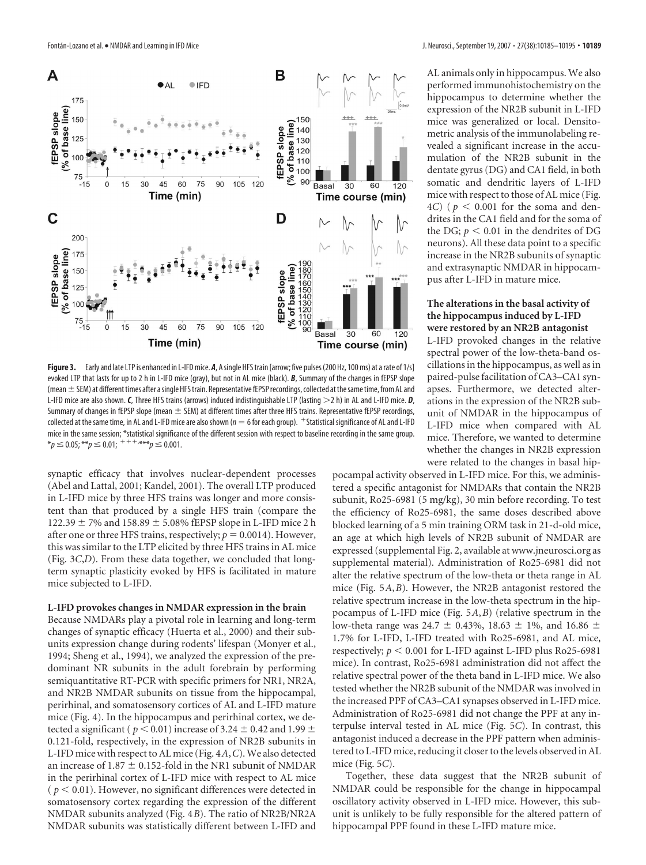

**Figure 3.** Early and late LTP is enhanced in L-IFD mice. *A*, Asingle HFS train [arrow; five pulses (200 Hz, 100 ms) at a rate of 1/s] evoked LTP that lasts for up to 2 h in L-IFD mice (gray), but not in AL mice (black). *B*, Summary of the changes in fEPSP slope (mean  $\pm$  SEM) at different times after a single HFS train. Representative fEPSP recordings, collected at the same time, from AL and L-IFD mice are also shown. *C*, Three HFS trains (arrows) induced indistinguishable LTP (lasting  $>$ 2 h) in AL and L-IFD mice. *D*, Summary of changes in fEPSP slope (mean  $\pm$  SEM) at different times after three HFS trains. Representative fEPSP recordings, collected at the same time, in AL and L-IFD mice are also shown ( $n = 6$  for each group).  $+$ Statistical significance of AL and L-IFD mice in the same session; \*statistical significance of the different session with respect to baseline recording in the same group.  $*_p$   $\leq$  0.05;  $^{**}$  $p$   $\leq$  0.01;  $^{+++,***}$  $p$   $\leq$  0.001.

synaptic efficacy that involves nuclear-dependent processes (Abel and Lattal, 2001; Kandel, 2001). The overall LTP produced in L-IFD mice by three HFS trains was longer and more consistent than that produced by a single HFS train (compare the  $122.39 \pm 7\%$  and  $158.89 \pm 5.08\%$  fEPSP slope in L-IFD mice 2 h after one or three HFS trains, respectively;  $p = 0.0014$ ). However, this was similar to the LTP elicited by three HFS trains in AL mice (Fig. 3*C*,*D*). From these data together, we concluded that longterm synaptic plasticity evoked by HFS is facilitated in mature mice subjected to L-IFD.

#### **L-IFD provokes changes in NMDAR expression in the brain**

Because NMDARs play a pivotal role in learning and long-term changes of synaptic efficacy (Huerta et al., 2000) and their subunits expression change during rodents' lifespan (Monyer et al., 1994; Sheng et al., 1994), we analyzed the expression of the predominant NR subunits in the adult forebrain by performing semiquantitative RT-PCR with specific primers for NR1, NR2A, and NR2B NMDAR subunits on tissue from the hippocampal, perirhinal, and somatosensory cortices of AL and L-IFD mature mice (Fig. 4). In the hippocampus and perirhinal cortex, we detected a significant (  $p < 0.01$ ) increase of 3.24  $\pm$  0.42 and 1.99  $\pm$ 0.121-fold, respectively, in the expression of NR2B subunits in L-IFD mice with respect to AL mice (Fig. 4*A*,*C*). We also detected an increase of  $1.87 \pm 0.152$ -fold in the NR1 subunit of NMDAR in the perirhinal cortex of L-IFD mice with respect to AL mice  $(p < 0.01)$ . However, no significant differences were detected in somatosensory cortex regarding the expression of the different NMDAR subunits analyzed (Fig. 4*B*). The ratio of NR2B/NR2A NMDAR subunits was statistically different between L-IFD and

AL animals only in hippocampus. We also performed immunohistochemistry on the hippocampus to determine whether the expression of the NR2B subunit in L-IFD mice was generalized or local. Densitometric analysis of the immunolabeling revealed a significant increase in the accumulation of the NR2B subunit in the dentate gyrus (DG) and CA1 field, in both somatic and dendritic layers of L-IFD mice with respect to those of AL mice (Fig.  $4C$ ) ( $p < 0.001$  for the soma and dendrites in the CA1 field and for the soma of the DG;  $p < 0.01$  in the dendrites of DG neurons). All these data point to a specific increase in the NR2B subunits of synaptic and extrasynaptic NMDAR in hippocampus after L-IFD in mature mice.

## **The alterations in the basal activity of the hippocampus induced by L-IFD were restored by an NR2B antagonist**

L-IFD provoked changes in the relative spectral power of the low-theta-band oscillations in the hippocampus, as well as in paired-pulse facilitation of CA3–CA1 synapses. Furthermore, we detected alterations in the expression of the NR2B subunit of NMDAR in the hippocampus of L-IFD mice when compared with AL mice. Therefore, we wanted to determine whether the changes in NR2B expression were related to the changes in basal hip-

pocampal activity observed in L-IFD mice. For this, we administered a specific antagonist for NMDARs that contain the NR2B subunit, Ro25-6981 (5 mg/kg), 30 min before recording. To test the efficiency of Ro25-6981, the same doses described above blocked learning of a 5 min training ORM task in 21-d-old mice, an age at which high levels of NR2B subunit of NMDAR are expressed (supplemental Fig. 2, available at www.jneurosci.org as supplemental material). Administration of Ro25-6981 did not alter the relative spectrum of the low-theta or theta range in AL mice (Fig. 5*A*,*B*). However, the NR2B antagonist restored the relative spectrum increase in the low-theta spectrum in the hippocampus of L-IFD mice (Fig. 5*A*,*B*) (relative spectrum in the low-theta range was 24.7  $\pm$  0.43%, 18.63  $\pm$  1%, and 16.86  $\pm$ 1.7% for L-IFD, L-IFD treated with Ro25-6981, and AL mice, respectively;  $p < 0.001$  for L-IFD against L-IFD plus Ro25-6981 mice). In contrast, Ro25-6981 administration did not affect the relative spectral power of the theta band in L-IFD mice. We also tested whether the NR2B subunit of the NMDAR was involved in the increased PPF of CA3–CA1 synapses observed in L-IFD mice. Administration of Ro25-6981 did not change the PPF at any interpulse interval tested in AL mice (Fig. 5*C*). In contrast, this antagonist induced a decrease in the PPF pattern when administered to L-IFD mice, reducing it closer to the levels observed in AL mice (Fig. 5*C*).

Together, these data suggest that the NR2B subunit of NMDAR could be responsible for the change in hippocampal oscillatory activity observed in L-IFD mice. However, this subunit is unlikely to be fully responsible for the altered pattern of hippocampal PPF found in these L-IFD mature mice.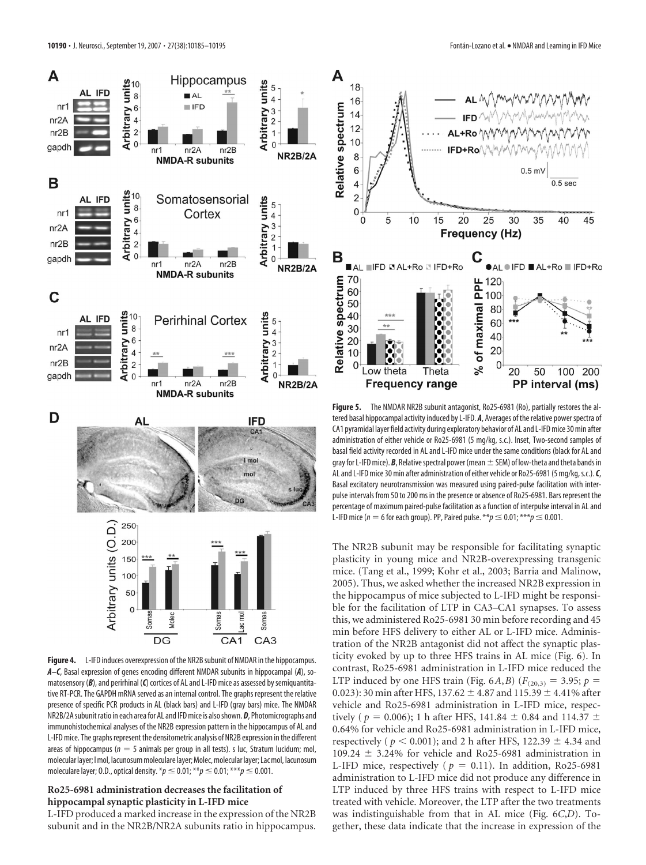

Figure 4. L-IFD induces overexpression of the NR2B subunit of NMDAR in the hippocampus. *A–C*, Basal expression of genes encoding different NMDAR subunits in hippocampal (*A*), somatosensory (*B*), and perirhinal (*C*) cortices of AL and L-IFD mice as assessed by semiquantitative RT-PCR. The GAPDH mRNA served as an internal control. The graphs represent the relative presence of specific PCR products in AL (black bars) and L-IFD (gray bars) mice. The NMDAR NR2B/2Asubunit ratio in each area for AL and IFD mice is alsoshown. *D*, Photomicrographs and immunohistochemical analyses of the NR2B expression pattern in the hippocampus of AL and L-IFD mice. The graphs represent the densitometric analysis of NR2B expression in the different areas of hippocampus ( $n = 5$  animals per group in all tests). s luc, Stratum lucidum; mol, molecular layer; I mol, lacunosum moleculare layer; Molec, molecular layer; Lac mol, lacunosum moleculare layer; 0.D., optical density.  ${}^{*}p \leq 0.01; {}^{**}p \leq 0.01; {}^{***}p \leq 0.001$ .

## **Ro25-6981 administration decreases the facilitation of hippocampal synaptic plasticity in L-IFD mice**

L-IFD produced a marked increase in the expression of the NR2B subunit and in the NR2B/NR2A subunits ratio in hippocampus.



**Figure 5.** The NMDAR NR2B subunit antagonist, Ro25-6981 (Ro), partially restores the altered basal hippocampal activity induced by L-IFD. *A*, Averages of the relative powerspectra of CA1 pyramidal layer field activity during exploratory behavior of AL and L-IFD mice 30 min after administration of either vehicle or Ro25-6981 (5 mg/kg, s.c.). Inset, Two-second samples of basal field activity recorded in AL and L-IFD mice under the same conditions (black for AL and gray for L-IFD mice). **B**, Relative spectral power (mean  $\pm$  SEM) of low-theta and theta bands in AL and L-IFD mice 30 min after administration of either vehicle or Ro25-6981 (5 mg/kg,s.c.).*C*, Basal excitatory neurotransmission was measured using paired-pulse facilitation with interpulse intervals from 50 to 200 ms in the presence or absence of Ro25-6981. Bars represent the percentage of maximum paired-pulse facilitation as a function of interpulse interval in AL and L-IFD mice ( $n = 6$  for each group). PP, Paired pulse. \*\* $p \le 0.01$ ; \*\*\* $p \le 0.001$ .

The NR2B subunit may be responsible for facilitating synaptic plasticity in young mice and NR2B-overexpressing transgenic mice. (Tang et al., 1999; Kohr et al., 2003; Barria and Malinow, 2005). Thus, we asked whether the increased NR2B expression in the hippocampus of mice subjected to L-IFD might be responsible for the facilitation of LTP in CA3–CA1 synapses. To assess this, we administered Ro25-6981 30 min before recording and 45 min before HFS delivery to either AL or L-IFD mice. Administration of the NR2B antagonist did not affect the synaptic plasticity evoked by up to three HFS trains in AL mice (Fig. 6). In contrast, Ro25-6981 administration in L-IFD mice reduced the LTP induced by one HFS train (Fig. 6*A*, *B*) ( $F_{(20,3)} = 3.95$ ;  $p =$  $(0.023)$ : 30 min after HFS, 137.62  $\pm$  4.87 and 115.39  $\pm$  4.41% after vehicle and Ro25-6981 administration in L-IFD mice, respectively ( $p = 0.006$ ); 1 h after HFS, 141.84  $\pm$  0.84 and 114.37  $\pm$ 0.64% for vehicle and Ro25-6981 administration in L-IFD mice, respectively ( $p < 0.001$ ); and 2 h after HFS, 122.39  $\pm$  4.34 and 109.24  $\pm$  3.24% for vehicle and Ro25-6981 administration in L-IFD mice, respectively ( $p = 0.11$ ). In addition, Ro25-6981 administration to L-IFD mice did not produce any difference in LTP induced by three HFS trains with respect to L-IFD mice treated with vehicle. Moreover, the LTP after the two treatments was indistinguishable from that in AL mice (Fig. 6*C*,*D*). Together, these data indicate that the increase in expression of the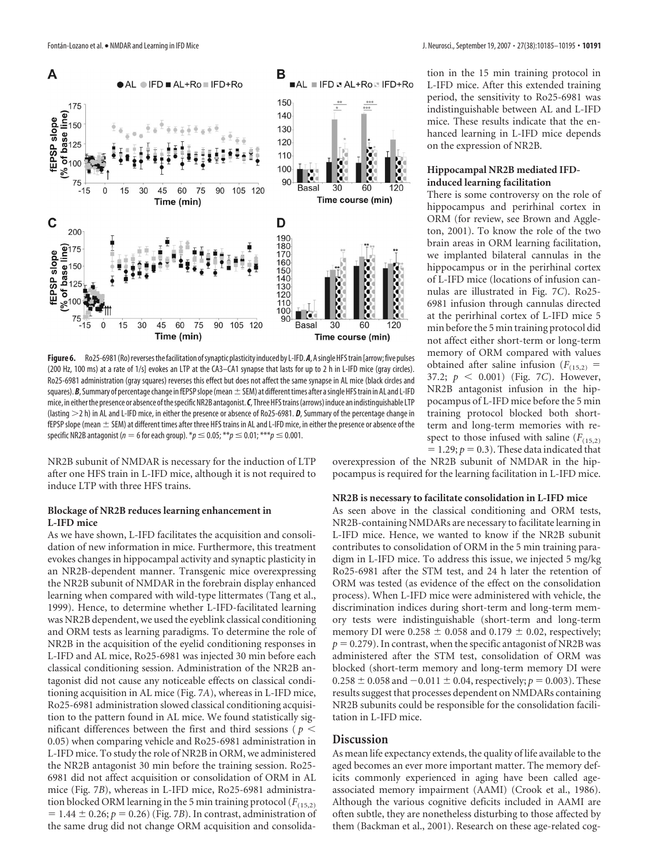

Figure 6. Ro25-6981 (Ro) reverses the facilitation of synaptic plasticity induced by L-IFD. A, A single HFS train [arrow; five pulses (200 Hz, 100 ms) at a rate of 1/s] evokes an LTP at the CA3–CA1 synapse that lasts for up to 2 h in L-IFD mice (gray circles). Ro25-6981 administration (gray squares) reverses this effect but does not affect the same synapse in AL mice (black circles and squares). *B*, Summary of percentage change in fEPSP slope (mean  $\pm$  SEM) at different times after a single HFS train in AL and L-IFD mice, in eitherthe presence or absence ofthespecificNR2B antagonist.*C*, ThreeHFStrains(arrows) induce an indistinguishable LTP (lasting 2 h) in AL and L-IFD mice, in either the presence or absence of Ro25-6981. *D*, Summary of the percentage change in fEPSP slope (mean  $\pm$  SEM) at different times after three HFS trains in AL and L-IFD mice, in either the presence or absence of the specific NR2B antagonist ( $n = 6$  for each group).  $* p \le 0.05; ** p \le 0.01; ** * p \le 0.001$ .

NR2B subunit of NMDAR is necessary for the induction of LTP after one HFS train in L-IFD mice, although it is not required to induce LTP with three HFS trains.

## **Blockage of NR2B reduces learning enhancement in L-IFD mice**

As we have shown, L-IFD facilitates the acquisition and consolidation of new information in mice. Furthermore, this treatment evokes changes in hippocampal activity and synaptic plasticity in an NR2B-dependent manner. Transgenic mice overexpressing the NR2B subunit of NMDAR in the forebrain display enhanced learning when compared with wild-type littermates (Tang et al., 1999). Hence, to determine whether L-IFD-facilitated learning was NR2B dependent, we used the eyeblink classical conditioning and ORM tests as learning paradigms. To determine the role of NR2B in the acquisition of the eyelid conditioning responses in L-IFD and AL mice, Ro25-6981 was injected 30 min before each classical conditioning session. Administration of the NR2B antagonist did not cause any noticeable effects on classical conditioning acquisition in AL mice (Fig. 7*A*), whereas in L-IFD mice, Ro25-6981 administration slowed classical conditioning acquisition to the pattern found in AL mice. We found statistically significant differences between the first and third sessions ( $p <$ 0.05) when comparing vehicle and Ro25-6981 administration in L-IFD mice. To study the role of NR2B in ORM, we administered the NR2B antagonist 30 min before the training session. Ro25- 6981 did not affect acquisition or consolidation of ORM in AL mice (Fig. 7*B*), whereas in L-IFD mice, Ro25-6981 administration blocked ORM learning in the 5 min training protocol  $(F_{(15,2)})$  $= 1.44 \pm 0.26$ ;  $p = 0.26$ ) (Fig. 7*B*). In contrast, administration of the same drug did not change ORM acquisition and consolidation in the 15 min training protocol in L-IFD mice. After this extended training period, the sensitivity to Ro25-6981 was indistinguishable between AL and L-IFD mice. These results indicate that the enhanced learning in L-IFD mice depends on the expression of NR2B.

## **Hippocampal NR2B mediated IFDinduced learning facilitation**

There is some controversy on the role of hippocampus and perirhinal cortex in ORM (for review, see Brown and Aggleton, 2001). To know the role of the two brain areas in ORM learning facilitation, we implanted bilateral cannulas in the hippocampus or in the perirhinal cortex of L-IFD mice (locations of infusion cannulas are illustrated in Fig. 7*C*). Ro25- 6981 infusion through cannulas directed at the perirhinal cortex of L-IFD mice 5 min before the 5 min training protocol did not affect either short-term or long-term memory of ORM compared with values obtained after saline infusion  $(F_{(15,2)})$  = 37.2;  $p \le 0.001$ ) (Fig. 7*C*). However, NR2B antagonist infusion in the hippocampus of L-IFD mice before the 5 min training protocol blocked both shortterm and long-term memories with respect to those infused with saline  $(F_{(15,2)})$  $= 1.29; p = 0.3$ ). These data indicated that

overexpression of the NR2B subunit of NMDAR in the hippocampus is required for the learning facilitation in L-IFD mice.

#### **NR2B is necessary to facilitate consolidation in L-IFD mice**

As seen above in the classical conditioning and ORM tests, NR2B-containing NMDARs are necessary to facilitate learning in L-IFD mice. Hence, we wanted to know if the NR2B subunit contributes to consolidation of ORM in the 5 min training paradigm in L-IFD mice. To address this issue, we injected 5 mg/kg Ro25-6981 after the STM test, and 24 h later the retention of ORM was tested (as evidence of the effect on the consolidation process). When L-IFD mice were administered with vehicle, the discrimination indices during short-term and long-term memory tests were indistinguishable (short-term and long-term memory DI were  $0.258 \pm 0.058$  and  $0.179 \pm 0.02$ , respectively;  $p = 0.279$ ). In contrast, when the specific antagonist of NR2B was administered after the STM test, consolidation of ORM was blocked (short-term memory and long-term memory DI were  $0.258 \pm 0.058$  and  $-0.011 \pm 0.04$ , respectively;  $p = 0.003$ ). These results suggest that processes dependent on NMDARs containing NR2B subunits could be responsible for the consolidation facilitation in L-IFD mice.

# **Discussion**

As mean life expectancy extends, the quality of life available to the aged becomes an ever more important matter. The memory deficits commonly experienced in aging have been called ageassociated memory impairment (AAMI) (Crook et al., 1986). Although the various cognitive deficits included in AAMI are often subtle, they are nonetheless disturbing to those affected by them (Backman et al., 2001). Research on these age-related cog-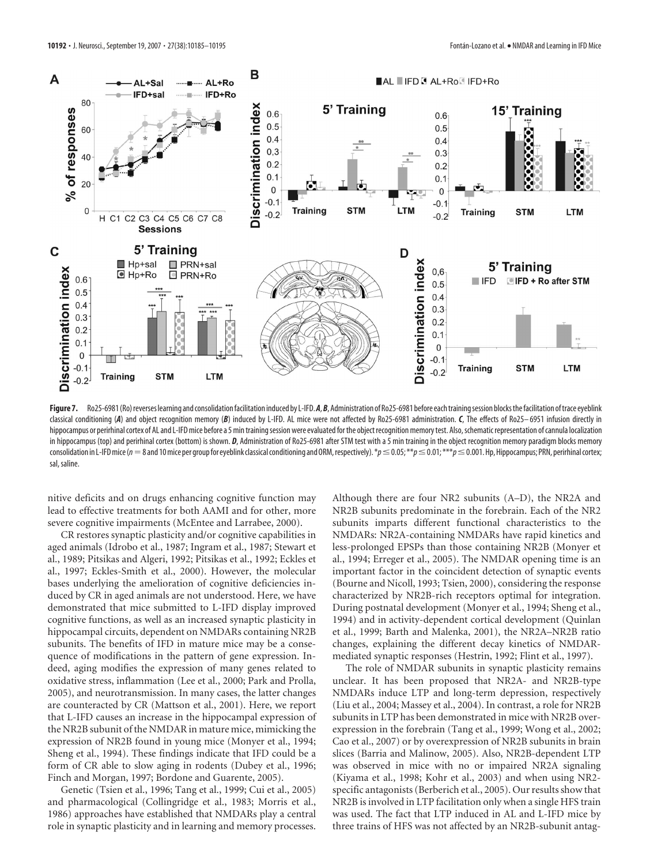

Figure 7. Ro25-6981 (Ro) reverses learning and consolidation facilitation induced by L-IFD. A, B, Administration of Ro25-6981 before each training session blocks the facilitation of trace eyeblink classical conditioning (*A*) and object recognition memory (*B*) induced by L-IFD. AL mice were not affected by Ro25-6981 administration. *C*, The effects of Ro25– 6951 infusion directly in hippocampus or perirhinal cortex of AL and L-IFD mice before a 5 min training session were evaluated for the object recognition memory test. Also, schematic representation of cannula localization in hippocampus (top) and perirhinal cortex (bottom) is shown. *D*, Administration of Ro25-6981 after STM test with a 5 min training in the object recognition memory paradigm blocks memory consolidation in L-IFD mice ( $n=8$  and 10 mice per group for eyeblink classical conditioning and ORM, respectively).  $*_{p} \le 0.05; **p \le 0.01; **p \le 0.001$ . Hp, Hippocampus; PRN, perirhinal cortex; sal, saline.

nitive deficits and on drugs enhancing cognitive function may lead to effective treatments for both AAMI and for other, more severe cognitive impairments (McEntee and Larrabee, 2000).

CR restores synaptic plasticity and/or cognitive capabilities in aged animals (Idrobo et al., 1987; Ingram et al., 1987; Stewart et al., 1989; Pitsikas and Algeri, 1992; Pitsikas et al., 1992; Eckles et al., 1997; Eckles-Smith et al., 2000). However, the molecular bases underlying the amelioration of cognitive deficiencies induced by CR in aged animals are not understood. Here, we have demonstrated that mice submitted to L-IFD display improved cognitive functions, as well as an increased synaptic plasticity in hippocampal circuits, dependent on NMDARs containing NR2B subunits. The benefits of IFD in mature mice may be a consequence of modifications in the pattern of gene expression. Indeed, aging modifies the expression of many genes related to oxidative stress, inflammation (Lee et al., 2000; Park and Prolla, 2005), and neurotransmission. In many cases, the latter changes are counteracted by CR (Mattson et al., 2001). Here, we report that L-IFD causes an increase in the hippocampal expression of the NR2B subunit of the NMDAR in mature mice, mimicking the expression of NR2B found in young mice (Monyer et al., 1994; Sheng et al., 1994). These findings indicate that IFD could be a form of CR able to slow aging in rodents (Dubey et al., 1996; Finch and Morgan, 1997; Bordone and Guarente, 2005).

Genetic (Tsien et al., 1996; Tang et al., 1999; Cui et al., 2005) and pharmacological (Collingridge et al., 1983; Morris et al., 1986) approaches have established that NMDARs play a central role in synaptic plasticity and in learning and memory processes. Although there are four NR2 subunits (A–D), the NR2A and NR2B subunits predominate in the forebrain. Each of the NR2 subunits imparts different functional characteristics to the NMDARs: NR2A-containing NMDARs have rapid kinetics and less-prolonged EPSPs than those containing NR2B (Monyer et al., 1994; Erreger et al., 2005). The NMDAR opening time is an important factor in the coincident detection of synaptic events (Bourne and Nicoll, 1993; Tsien, 2000), considering the response characterized by NR2B-rich receptors optimal for integration. During postnatal development (Monyer et al., 1994; Sheng et al., 1994) and in activity-dependent cortical development (Quinlan et al., 1999; Barth and Malenka, 2001), the NR2A–NR2B ratio changes, explaining the different decay kinetics of NMDARmediated synaptic responses (Hestrin, 1992; Flint et al., 1997).

The role of NMDAR subunits in synaptic plasticity remains unclear. It has been proposed that NR2A- and NR2B-type NMDARs induce LTP and long-term depression, respectively (Liu et al., 2004; Massey et al., 2004). In contrast, a role for NR2B subunits in LTP has been demonstrated in mice with NR2B overexpression in the forebrain (Tang et al., 1999; Wong et al., 2002; Cao et al., 2007) or by overexpression of NR2B subunits in brain slices (Barria and Malinow, 2005). Also, NR2B-dependent LTP was observed in mice with no or impaired NR2A signaling (Kiyama et al., 1998; Kohr et al., 2003) and when using NR2 specific antagonists (Berberich et al., 2005). Our results show that NR2B is involved in LTP facilitation only when a single HFS train was used. The fact that LTP induced in AL and L-IFD mice by three trains of HFS was not affected by an NR2B-subunit antag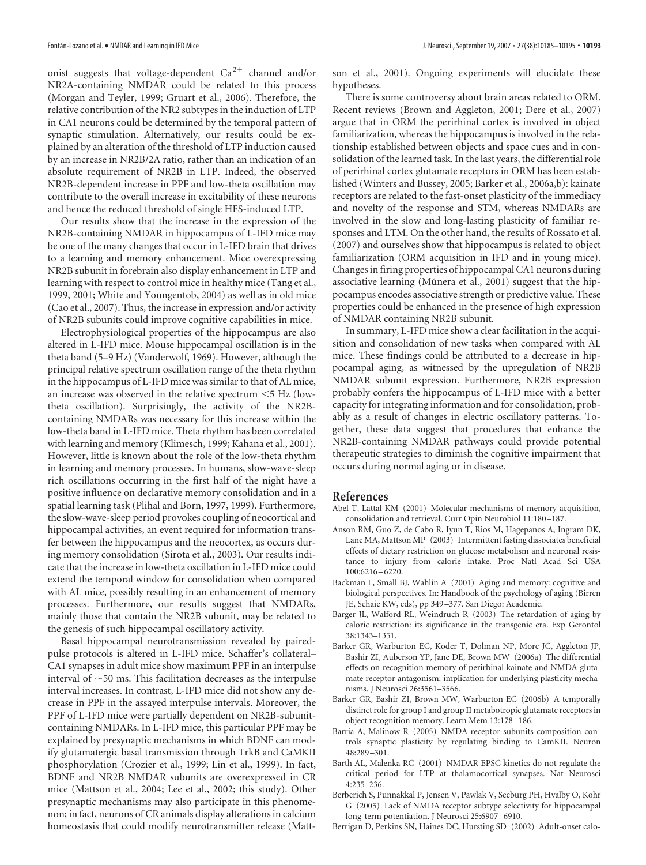onist suggests that voltage-dependent  $Ca^{2+}$  channel and/or NR2A-containing NMDAR could be related to this process (Morgan and Teyler, 1999; Gruart et al., 2006). Therefore, the relative contribution of the NR2 subtypes in the induction of LTP in CA1 neurons could be determined by the temporal pattern of synaptic stimulation. Alternatively, our results could be explained by an alteration of the threshold of LTP induction caused by an increase in NR2B/2A ratio, rather than an indication of an absolute requirement of NR2B in LTP. Indeed, the observed NR2B-dependent increase in PPF and low-theta oscillation may contribute to the overall increase in excitability of these neurons and hence the reduced threshold of single HFS-induced LTP.

Our results show that the increase in the expression of the NR2B-containing NMDAR in hippocampus of L-IFD mice may be one of the many changes that occur in L-IFD brain that drives to a learning and memory enhancement. Mice overexpressing NR2B subunit in forebrain also display enhancement in LTP and learning with respect to control mice in healthy mice (Tang et al., 1999, 2001; White and Youngentob, 2004) as well as in old mice (Cao et al., 2007). Thus, the increase in expression and/or activity of NR2B subunits could improve cognitive capabilities in mice.

Electrophysiological properties of the hippocampus are also altered in L-IFD mice. Mouse hippocampal oscillation is in the theta band (5–9 Hz) (Vanderwolf, 1969). However, although the principal relative spectrum oscillation range of the theta rhythm in the hippocampus of L-IFD mice was similar to that of AL mice, an increase was observed in the relative spectrum  $\leq$  5 Hz (lowtheta oscillation). Surprisingly, the activity of the NR2Bcontaining NMDARs was necessary for this increase within the low-theta band in L-IFD mice. Theta rhythm has been correlated with learning and memory (Klimesch, 1999; Kahana et al., 2001). However, little is known about the role of the low-theta rhythm in learning and memory processes. In humans, slow-wave-sleep rich oscillations occurring in the first half of the night have a positive influence on declarative memory consolidation and in a spatial learning task (Plihal and Born, 1997, 1999). Furthermore, the slow-wave-sleep period provokes coupling of neocortical and hippocampal activities, an event required for information transfer between the hippocampus and the neocortex, as occurs during memory consolidation (Sirota et al., 2003). Our results indicate that the increase in low-theta oscillation in L-IFD mice could extend the temporal window for consolidation when compared with AL mice, possibly resulting in an enhancement of memory processes. Furthermore, our results suggest that NMDARs, mainly those that contain the NR2B subunit, may be related to the genesis of such hippocampal oscillatory activity.

Basal hippocampal neurotransmission revealed by pairedpulse protocols is altered in L-IFD mice. Schaffer's collateral– CA1 synapses in adult mice show maximum PPF in an interpulse interval of  $\sim$  50 ms. This facilitation decreases as the interpulse interval increases. In contrast, L-IFD mice did not show any decrease in PPF in the assayed interpulse intervals. Moreover, the PPF of L-IFD mice were partially dependent on NR2B-subunitcontaining NMDARs. In L-IFD mice, this particular PPF may be explained by presynaptic mechanisms in which BDNF can modify glutamatergic basal transmission through TrkB and CaMKII phosphorylation (Crozier et al., 1999; Lin et al., 1999). In fact, BDNF and NR2B NMDAR subunits are overexpressed in CR mice (Mattson et al., 2004; Lee et al., 2002; this study). Other presynaptic mechanisms may also participate in this phenomenon; in fact, neurons of CR animals display alterations in calcium homeostasis that could modify neurotransmitter release (Mattson et al., 2001). Ongoing experiments will elucidate these hypotheses.

There is some controversy about brain areas related to ORM. Recent reviews (Brown and Aggleton, 2001; Dere et al., 2007) argue that in ORM the perirhinal cortex is involved in object familiarization, whereas the hippocampus is involved in the relationship established between objects and space cues and in consolidation of the learned task. In the last years, the differential role of perirhinal cortex glutamate receptors in ORM has been established (Winters and Bussey, 2005; Barker et al., 2006a,b): kainate receptors are related to the fast-onset plasticity of the immediacy and novelty of the response and STM, whereas NMDARs are involved in the slow and long-lasting plasticity of familiar responses and LTM. On the other hand, the results of Rossato et al. (2007) and ourselves show that hippocampus is related to object familiarization (ORM acquisition in IFD and in young mice). Changes in firing properties of hippocampal CA1 neurons during associative learning (Múnera et al., 2001) suggest that the hippocampus encodes associative strength or predictive value. These properties could be enhanced in the presence of high expression of NMDAR containing NR2B subunit.

In summary, L-IFD mice show a clear facilitation in the acquisition and consolidation of new tasks when compared with AL mice. These findings could be attributed to a decrease in hippocampal aging, as witnessed by the upregulation of NR2B NMDAR subunit expression. Furthermore, NR2B expression probably confers the hippocampus of L-IFD mice with a better capacity for integrating information and for consolidation, probably as a result of changes in electric oscillatory patterns. Together, these data suggest that procedures that enhance the NR2B-containing NMDAR pathways could provide potential therapeutic strategies to diminish the cognitive impairment that occurs during normal aging or in disease.

#### **References**

- Abel T, Lattal KM (2001) Molecular mechanisms of memory acquisition, consolidation and retrieval. Curr Opin Neurobiol 11:180 –187.
- Anson RM, Guo Z, de Cabo R, Iyun T, Rios M, Hagepanos A, Ingram DK, Lane MA, Mattson MP (2003) Intermittent fasting dissociates beneficial effects of dietary restriction on glucose metabolism and neuronal resistance to injury from calorie intake. Proc Natl Acad Sci USA 100:6216 – 6220.
- Backman L, Small BJ, Wahlin A (2001) Aging and memory: cognitive and biological perspectives. In: Handbook of the psychology of aging (Birren JE, Schaie KW, eds), pp 349 –377. San Diego: Academic.
- Barger JL, Walford RL, Weindruch R (2003) The retardation of aging by caloric restriction: its significance in the transgenic era. Exp Gerontol 38:1343–1351.
- Barker GR, Warburton EC, Koder T, Dolman NP, More JC, Aggleton JP, Bashir ZI, Auberson YP, Jane DE, Brown MW (2006a) The differential effects on recognition memory of perirhinal kainate and NMDA glutamate receptor antagonism: implication for underlying plasticity mechanisms. J Neurosci 26:3561–3566.
- Barker GR, Bashir ZI, Brown MW, Warburton EC (2006b) A temporally distinct role for group I and group II metabotropic glutamate receptors in object recognition memory. Learn Mem 13:178 –186.
- Barria A, Malinow R (2005) NMDA receptor subunits composition controls synaptic plasticity by regulating binding to CamKII. Neuron 48:289 –301.
- Barth AL, Malenka RC (2001) NMDAR EPSC kinetics do not regulate the critical period for LTP at thalamocortical synapses. Nat Neurosci 4:235–236.
- Berberich S, Punnakkal P, Jensen V, Pawlak V, Seeburg PH, Hvalby O, Kohr G (2005) Lack of NMDA receptor subtype selectivity for hippocampal long-term potentiation. J Neurosci 25:6907– 6910.
- Berrigan D, Perkins SN, Haines DC, Hursting SD (2002) Adult-onset calo-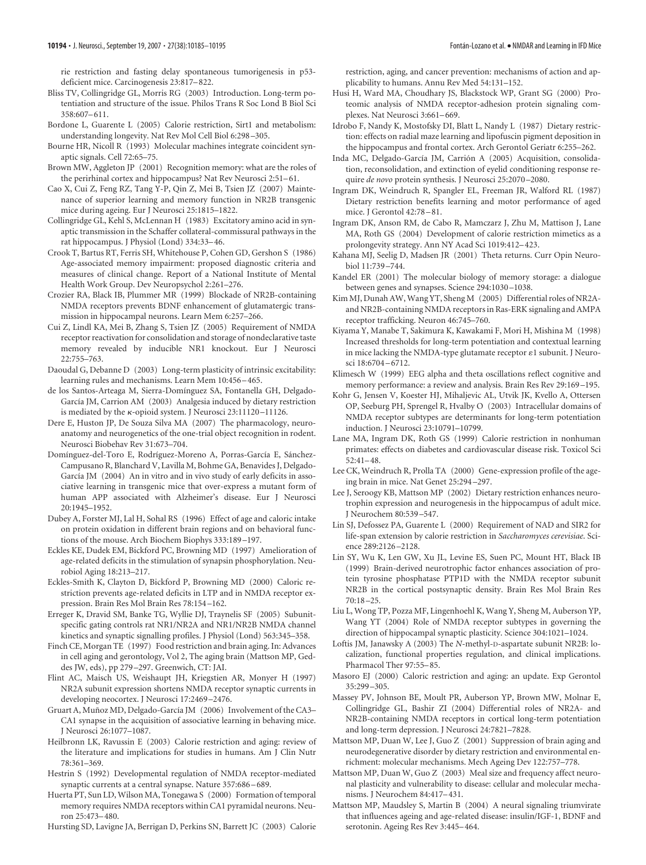rie restriction and fasting delay spontaneous tumorigenesis in p53 deficient mice. Carcinogenesis 23:817– 822.

- Bliss TV, Collingridge GL, Morris RG (2003) Introduction. Long-term potentiation and structure of the issue. Philos Trans R Soc Lond B Biol Sci 358:607– 611.
- Bordone L, Guarente L (2005) Calorie restriction, Sirt1 and metabolism: understanding longevity. Nat Rev Mol Cell Biol 6:298 –305.
- Bourne HR, Nicoll R (1993) Molecular machines integrate coincident synaptic signals. Cell 72:65–75.
- Brown MW, Aggleton JP (2001) Recognition memory: what are the roles of the perirhinal cortex and hippocampus? Nat Rev Neurosci 2:51-61.
- Cao X, Cui Z, Feng RZ, Tang Y-P, Qin Z, Mei B, Tsien JZ (2007) Maintenance of superior learning and memory function in NR2B transgenic mice during ageing. Eur J Neurosci 25:1815–1822.
- Collingridge GL, Kehl S, McLennan H (1983) Excitatory amino acid in synaptic transmission in the Schaffer collateral-commissural pathways in the rat hippocampus. J Physiol (Lond) 334:33– 46.
- Crook T, Bartus RT, Ferris SH, Whitehouse P, Cohen GD, Gershon S (1986) Age-associated memory impairment: proposed diagnostic criteria and measures of clinical change. Report of a National Institute of Mental Health Work Group. Dev Neuropsychol 2:261–276.
- Crozier RA, Black IB, Plummer MR (1999) Blockade of NR2B-containing NMDA receptors prevents BDNF enhancement of glutamatergic transmission in hippocampal neurons. Learn Mem 6:257–266.
- Cui Z, Lindl KA, Mei B, Zhang S, Tsien JZ (2005) Requirement of NMDA receptor reactivation for consolidation and storage of nondeclarative taste memory revealed by inducible NR1 knockout. Eur J Neurosci 22:755–763.
- Daoudal G, Debanne D (2003) Long-term plasticity of intrinsic excitability: learning rules and mechanisms. Learn Mem 10:456 – 465.
- de los Santos-Arteaga M, Sierra-Domínguez SA, Fontanella GH, Delgado-García JM, Carrion AM (2003) Analgesia induced by dietary restriction is mediated by the  $\kappa$ -opioid system. J Neurosci 23:11120-11126.
- Dere E, Huston JP, De Souza Silva MA (2007) The pharmacology, neuroanatomy and neurogenetics of the one-trial object recognition in rodent. Neurosci Biobehav Rev 31:673–704.
- Domínguez-del-Toro E, Rodríguez-Moreno A, Porras-García E, Sánchez-Campusano R, Blanchard V, Lavilla M, Bohme GA, Benavides J, Delgado-García JM (2004) An in vitro and in vivo study of early deficits in associative learning in transgenic mice that over-express a mutant form of human APP associated with Alzheimer's disease. Eur J Neurosci 20:1945–1952.
- Dubey A, Forster MJ, Lal H, Sohal RS (1996) Effect of age and caloric intake on protein oxidation in different brain regions and on behavioral functions of the mouse. Arch Biochem Biophys 333:189 –197.
- Eckles KE, Dudek EM, Bickford PC, Browning MD (1997) Amelioration of age-related deficits in the stimulation of synapsin phosphorylation. Neurobiol Aging 18:213–217.
- Eckles-Smith K, Clayton D, Bickford P, Browning MD (2000) Caloric restriction prevents age-related deficits in LTP and in NMDA receptor expression. Brain Res Mol Brain Res 78:154 –162.
- Erreger K, Dravid SM, Banke TG, Wyllie DJ, Traynelis SF (2005) Subunitspecific gating controls rat NR1/NR2A and NR1/NR2B NMDA channel kinetics and synaptic signalling profiles. J Physiol (Lond) 563:345–358.
- Finch CE, Morgan TE (1997) Food restriction and brain aging. In: Advances in cell aging and gerontology, Vol 2, The aging brain (Mattson MP, Geddes JW, eds), pp 279 –297. Greenwich, CT: JAI.
- Flint AC, Maisch US, Weishaupt JH, Kriegstien AR, Monyer H (1997) NR2A subunit expression shortens NMDA receptor synaptic currents in developing neocortex. J Neurosci 17:2469 –2476.
- Gruart A, Muñoz MD, Delgado-García JM (2006) Involvement of the CA3-CA1 synapse in the acquisition of associative learning in behaving mice. J Neurosci 26:1077–1087.
- Heilbronn LK, Ravussin E (2003) Calorie restriction and aging: review of the literature and implications for studies in humans. Am J Clin Nutr 78:361–369.
- Hestrin S (1992) Developmental regulation of NMDA receptor-mediated synaptic currents at a central synapse. Nature 357:686 – 689.
- Huerta PT, Sun LD, Wilson MA, Tonegawa S (2000) Formation of temporal memory requires NMDA receptors within CA1 pyramidal neurons. Neuron 25:473– 480.
- Hursting SD, Lavigne JA, Berrigan D, Perkins SN, Barrett JC (2003) Calorie

restriction, aging, and cancer prevention: mechanisms of action and applicability to humans. Annu Rev Med 54:131–152.

- Husi H, Ward MA, Choudhary JS, Blackstock WP, Grant SG (2000) Proteomic analysis of NMDA receptor-adhesion protein signaling complexes. Nat Neurosci 3:661-669.
- Idrobo F, Nandy K, Mostofsky DI, Blatt L, Nandy L (1987) Dietary restriction: effects on radial maze learning and lipofuscin pigment deposition in the hippocampus and frontal cortex. Arch Gerontol Geriatr 6:255–262.
- Inda MC, Delgado-García JM, Carrión A (2005) Acquisition, consolidation, reconsolidation, and extinction of eyelid conditioning response require *de novo* protein synthesis. J Neurosci 25:2070 –2080.
- Ingram DK, Weindruch R, Spangler EL, Freeman JR, Walford RL (1987) Dietary restriction benefits learning and motor performance of aged mice. J Gerontol 42:78 – 81.
- Ingram DK, Anson RM, de Cabo R, Mamczarz J, Zhu M, Mattison J, Lane MA, Roth GS (2004) Development of calorie restriction mimetics as a prolongevity strategy. Ann NY Acad Sci 1019:412– 423.
- Kahana MJ, Seelig D, Madsen JR (2001) Theta returns. Curr Opin Neurobiol 11:739 –744.
- Kandel ER (2001) The molecular biology of memory storage: a dialogue between genes and synapses. Science 294:1030 –1038.
- Kim MJ, Dunah AW, Wang YT, Sheng M (2005) Differential roles of NR2Aand NR2B-containing NMDA receptors in Ras-ERK signaling and AMPA receptor trafficking. Neuron 46:745–760.
- Kiyama Y, Manabe T, Sakimura K, Kawakami F, Mori H, Mishina M (1998) Increased thresholds for long-term potentiation and contextual learning in mice lacking the NMDA-type glutamate receptor  $\varepsilon$ 1 subunit. J Neurosci 18:6704 – 6712.
- Klimesch W (1999) EEG alpha and theta oscillations reflect cognitive and memory performance: a review and analysis. Brain Res Rev 29:169 –195.
- Kohr G, Jensen V, Koester HJ, Mihaljevic AL, Utvik JK, Kvello A, Ottersen OP, Seeburg PH, Sprengel R, Hvalby O (2003) Intracellular domains of NMDA receptor subtypes are determinants for long-term potentiation induction. J Neurosci 23:10791–10799.
- Lane MA, Ingram DK, Roth GS (1999) Calorie restriction in nonhuman primates: effects on diabetes and cardiovascular disease risk. Toxicol Sci 52:41– 48.
- Lee CK, Weindruch R, Prolla TA (2000) Gene-expression profile of the ageing brain in mice. Nat Genet 25:294 –297.
- Lee J, Seroogy KB, Mattson MP (2002) Dietary restriction enhances neurotrophin expression and neurogenesis in the hippocampus of adult mice. J Neurochem 80:539 –547.
- Lin SJ, Defossez PA, Guarente L (2000) Requirement of NAD and SIR2 for life-span extension by calorie restriction in *Saccharomyces cerevisiae*. Science 289:2126 –2128.
- Lin SY, Wu K, Len GW, Xu JL, Levine ES, Suen PC, Mount HT, Black IB (1999) Brain-derived neurotrophic factor enhances association of protein tyrosine phosphatase PTP1D with the NMDA receptor subunit NR2B in the cortical postsynaptic density. Brain Res Mol Brain Res 70:18 –25.
- Liu L, Wong TP, Pozza MF, Lingenhoehl K, Wang Y, Sheng M, Auberson YP, Wang YT (2004) Role of NMDA receptor subtypes in governing the direction of hippocampal synaptic plasticity. Science 304:1021–1024.
- Loftis JM, Janawsky A (2003) The *N*-methyl-D-aspartate subunit NR2B: localization, functional properties regulation, and clinical implications. Pharmacol Ther 97:55– 85.
- Masoro EJ (2000) Caloric restriction and aging: an update. Exp Gerontol 35:299 –305.
- Massey PV, Johnson BE, Moult PR, Auberson YP, Brown MW, Molnar E, Collingridge GL, Bashir ZI (2004) Differential roles of NR2A- and NR2B-containing NMDA receptors in cortical long-term potentiation and long-term depression. J Neurosci 24:7821–7828.
- Mattson MP, Duan W, Lee J, Guo Z (2001) Suppression of brain aging and neurodegenerative disorder by dietary restriction and environmental enrichment: molecular mechanisms. Mech Ageing Dev 122:757–778.
- Mattson MP, Duan W, Guo Z (2003) Meal size and frequency affect neuronal plasticity and vulnerability to disease: cellular and molecular mechanisms. J Neurochem 84:417– 431.
- Mattson MP, Maudsley S, Martin B (2004) A neural signaling triumvirate that influences ageing and age-related disease: insulin/IGF-1, BDNF and serotonin. Ageing Res Rev 3:445– 464.